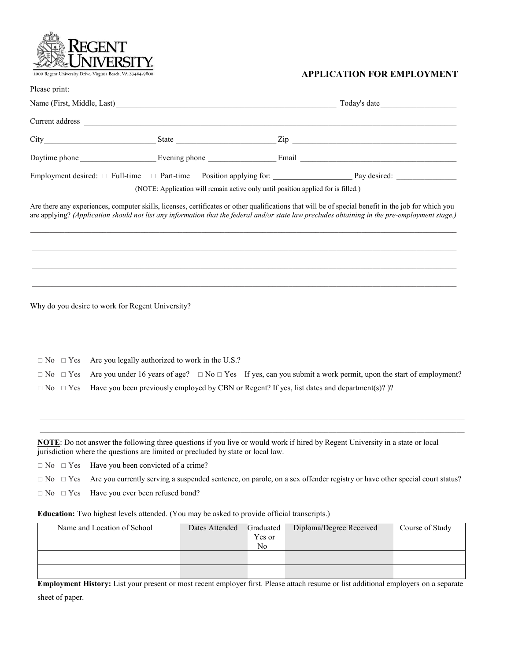|                      | 1000 Regent University Drive, Virginia Beach, VA 23464-9800                                                                                                                                                                                                                                           | <b>APPLICATION FOR EMPLOYMENT</b> |
|----------------------|-------------------------------------------------------------------------------------------------------------------------------------------------------------------------------------------------------------------------------------------------------------------------------------------------------|-----------------------------------|
| Please print:        |                                                                                                                                                                                                                                                                                                       |                                   |
|                      |                                                                                                                                                                                                                                                                                                       |                                   |
|                      |                                                                                                                                                                                                                                                                                                       |                                   |
|                      |                                                                                                                                                                                                                                                                                                       |                                   |
|                      |                                                                                                                                                                                                                                                                                                       |                                   |
|                      | Employment desired: $\Box$ Full-time $\Box$ Part-time Position applying for: Pay desired: Pay desired: $\Box$<br>(NOTE: Application will remain active only until position applied for is filled.)                                                                                                    |                                   |
|                      | Are there any experiences, computer skills, licenses, certificates or other qualifications that will be of special benefit in the job for which you<br>are applying? (Application should not list any information that the federal and/or state law precludes obtaining in the pre-employment stage.) |                                   |
|                      |                                                                                                                                                                                                                                                                                                       |                                   |
|                      |                                                                                                                                                                                                                                                                                                       |                                   |
|                      |                                                                                                                                                                                                                                                                                                       |                                   |
|                      | Why do you desire to work for Regent University?                                                                                                                                                                                                                                                      |                                   |
| $\Box$ No $\Box$ Yes | Are you legally authorized to work in the U.S.?                                                                                                                                                                                                                                                       |                                   |
| $\Box$ No $\Box$ Yes | Are you under 16 years of age? $\Box$ No $\Box$ Yes If yes, can you submit a work permit, upon the start of employment?                                                                                                                                                                               |                                   |
| $\Box$ No $\Box$ Yes | Have you been previously employed by CBN or Regent? If yes, list dates and department(s)?)?                                                                                                                                                                                                           |                                   |
|                      |                                                                                                                                                                                                                                                                                                       |                                   |
|                      | <b>NOTE:</b> Do not answer the following three questions if you live or would work if hired by Regent University in a state or local<br>jurisdiction where the questions are limited or precluded by state or local law.                                                                              |                                   |
| $\Box$ No $\Box$ Yes | Have you been convicted of a crime?                                                                                                                                                                                                                                                                   |                                   |
| $\Box$ No $\Box$ Yes | Are you currently serving a suspended sentence, on parole, on a sex offender registry or have other special court status?                                                                                                                                                                             |                                   |

 $\Box$  No  $\Box$  Yes Have you ever been refused bond?

**Education:** Two highest levels attended. (You may be asked to provide official transcripts.)

| Name and Location of School | Dates Attended | Graduated<br>Yes or<br>N <sub>0</sub> | Diploma/Degree Received | Course of Study |
|-----------------------------|----------------|---------------------------------------|-------------------------|-----------------|
|                             |                |                                       |                         |                 |
|                             |                |                                       |                         |                 |

**Employment History:** List your present or most recent employer first. Please attach resume or list additional employers on a separate sheet of paper.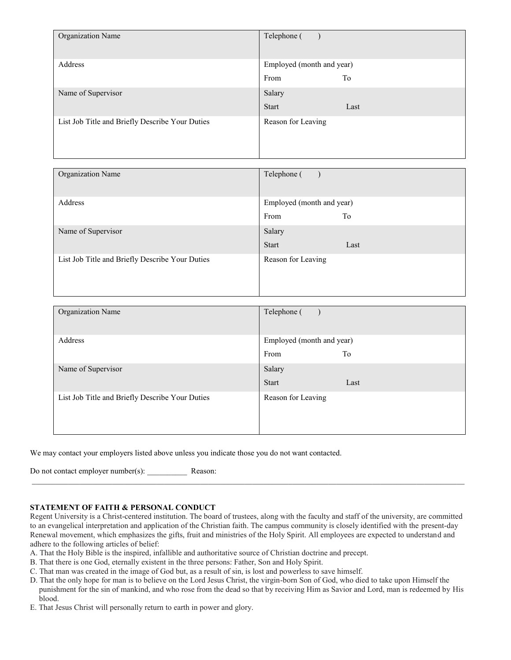| Organization Name                               | Telephone (               |
|-------------------------------------------------|---------------------------|
| Address                                         | Employed (month and year) |
|                                                 | To<br>From                |
| Name of Supervisor                              | Salary                    |
|                                                 | <b>Start</b><br>Last      |
| List Job Title and Briefly Describe Your Duties | Reason for Leaving        |

| Organization Name                               | Telephone (               |
|-------------------------------------------------|---------------------------|
| Address                                         | Employed (month and year) |
|                                                 | From<br>To                |
| Name of Supervisor                              | Salary                    |
|                                                 | <b>Start</b><br>Last      |
| List Job Title and Briefly Describe Your Duties | Reason for Leaving        |

| Organization Name                               | Telephone (                             |
|-------------------------------------------------|-----------------------------------------|
| Address                                         | Employed (month and year)<br>From<br>To |
| Name of Supervisor                              | Salary<br><b>Start</b><br>Last          |
| List Job Title and Briefly Describe Your Duties | Reason for Leaving                      |

We may contact your employers listed above unless you indicate those you do not want contacted.

Do not contact employer number(s): \_\_\_\_\_\_\_\_\_\_ Reason:

## **STATEMENT OF FAITH & PERSONAL CONDUCT**

Regent University is a Christ-centered institution. The board of trustees, along with the faculty and staff of the university, are committed to an evangelical interpretation and application of the Christian faith. The campus community is closely identified with the present-day Renewal movement, which emphasizes the gifts, fruit and ministries of the Holy Spirit. All employees are expected to understand and adhere to the following articles of belief:

 $\mathcal{L}_\text{max} = \frac{1}{2} \sum_{i=1}^n \mathcal{L}_\text{max} = \frac{1}{2} \sum_{i=1}^n \mathcal{L}_\text{max} = \frac{1}{2} \sum_{i=1}^n \mathcal{L}_\text{max} = \frac{1}{2} \sum_{i=1}^n \mathcal{L}_\text{max} = \frac{1}{2} \sum_{i=1}^n \mathcal{L}_\text{max} = \frac{1}{2} \sum_{i=1}^n \mathcal{L}_\text{max} = \frac{1}{2} \sum_{i=1}^n \mathcal{L}_\text{max} = \frac{1}{2} \sum_{i=$ 

- A. That the Holy Bible is the inspired, infallible and authoritative source of Christian doctrine and precept.
- B. That there is one God, eternally existent in the three persons: Father, Son and Holy Spirit.
- C. That man was created in the image of God but, as a result of sin, is lost and powerless to save himself.
- D. That the only hope for man is to believe on the Lord Jesus Christ, the virgin-born Son of God, who died to take upon Himself the punishment for the sin of mankind, and who rose from the dead so that by receiving Him as Savior and Lord, man is redeemed by His blood.
- E. That Jesus Christ will personally return to earth in power and glory.